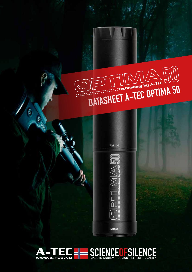## DATASHEET A-TEC OPTIMA 50





۵

C